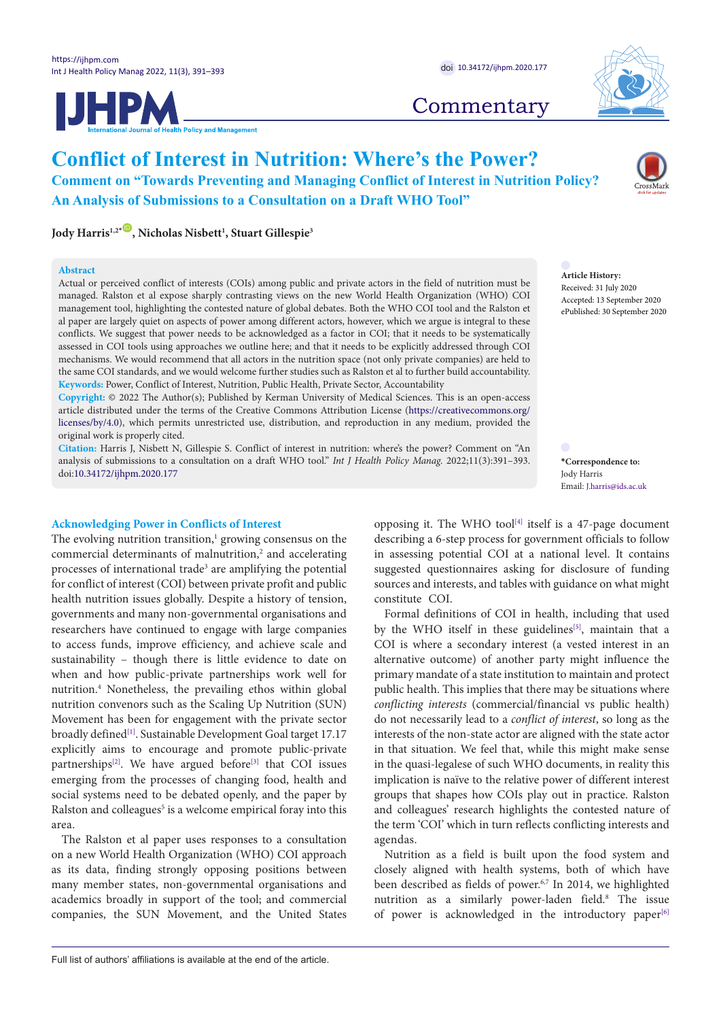**JHPM** 



# **Commentary**

## **Conflict of Interest in Nutrition: Where's the Power? Comment on "Towards Preventing and Managing Conflict of Interest in Nutrition Policy? An Analysis of Submissions to a Consultation on a Draft WHO Tool"**

**Jody Harris1,2[\\*](#page-0-0)** [ID](https://orcid.org/0000-0002-3369-1253) **, Nicholas Nisbett1 , Stuart Gillespie3**

#### **Abstract**

Actual or perceived conflict of interests (COIs) among public and private actors in the field of nutrition must be managed. Ralston et al expose sharply contrasting views on the new World Health Organization (WHO) COI management tool, highlighting the contested nature of global debates. Both the WHO COI tool and the Ralston et al paper are largely quiet on aspects of power among different actors, however, which we argue is integral to these conflicts. We suggest that power needs to be acknowledged as a factor in COI; that it needs to be systematically assessed in COI tools using approaches we outline here; and that it needs to be explicitly addressed through COI mechanisms. We would recommend that all actors in the nutrition space (not only private companies) are held to the same COI standards, and we would welcome further studies such as Ralston et al to further build accountability. **Keywords:** Power, Conflict of Interest, Nutrition, Public Health, Private Sector, Accountability

**Copyright:** © 2022 The Author(s); Published by Kerman University of Medical Sciences. This is an open-access article distributed under the terms of the Creative Commons Attribution License [\(https://creativecommons.org/](https://creativecommons.org/licenses/by/4.0) [licenses/by/4.0](https://creativecommons.org/licenses/by/4.0)), which permits unrestricted use, distribution, and reproduction in any medium, provided the original work is properly cited.

**Citation:** Harris J, Nisbett N, Gillespie S. Conflict of interest in nutrition: where's the power? Comment on "An analysis of submissions to a consultation on a draft WHO tool." *Int J Health Policy Manag.* 2022;11(3):391–393. doi[:10.34172/ijhpm.2020.177](https://doi.org/10.34172/ijhpm.2020.177)

#### **Acknowledging Power in Conflicts of Interest**

The evolving nutrition transition,<sup>1</sup> growing consensus on the commercial determinants of malnutrition,<sup>2</sup> and accelerating processes of international trade<sup>3</sup> are amplifying the potential for conflict of interest (COI) between private profit and public health nutrition issues globally. Despite a history of tension, governments and many non-governmental organisations and researchers have continued to engage with large companies to access funds, improve efficiency, and achieve scale and sustainability – though there is little evidence to date on when and how public-private partnerships work well for nutrition.4 Nonetheless, the prevailing ethos within global nutrition convenors such as the Scaling Up Nutrition (SUN) Movement has been for engagement with the private sector broadly defined<sup>[1]</sup>. Sustainable Development Goal target 17.17 explicitly aims to encourage and promote public-private partnerships<sup>[\[2\]](#page-2-1)</sup>. We have argued before<sup>[3]</sup> that COI issues emerging from the processes of changing food, health and social systems need to be debated openly, and the paper by Ralston and colleagues<sup>5</sup> is a welcome empirical foray into this area.

The Ralston et al paper uses responses to a consultation on a new World Health Organization (WHO) COI approach as its data, finding strongly opposing positions between many member states, non-governmental organisations and academics broadly in support of the tool; and commercial companies, the SUN Movement, and the United States

**Article History:** Received: 31 July 2020 Accepted: 13 September 2020 ePublished: 30 September 2020

<span id="page-0-0"></span>**\*Correspondence to:** Jody Harris Email: J.harris@ids.ac.uk

opposing it. The WHO tool<sup>[4]</sup> itself is a 47-page document describing a 6-step process for government officials to follow in assessing potential COI at a national level. It contains suggested questionnaires asking for disclosure of funding sources and interests, and tables with guidance on what might constitute COI.

Formal definitions of COI in health, including that used by the WHO itself in these guidelines<sup>[5]</sup>, maintain that a COI is where a secondary interest (a vested interest in an alternative outcome) of another party might influence the primary mandate of a state institution to maintain and protect public health. This implies that there may be situations where *conflicting interests* (commercial/financial vs public health) do not necessarily lead to a *conflict of interest*, so long as the interests of the non-state actor are aligned with the state actor in that situation. We feel that, while this might make sense in the quasi-legalese of such WHO documents, in reality this implication is naïve to the relative power of different interest groups that shapes how COIs play out in practice. Ralston and colleagues' research highlights the contested nature of the term 'COI' which in turn reflects conflicting interests and agendas.

Nutrition as a field is built upon the food system and closely aligned with health systems, both of which have been described as fields of power.<sup>6,7</sup> In 2014, we highlighted nutrition as a similarly power-laden field.8 The issue of power is acknowledged in the introductory paper<sup>[6]</sup>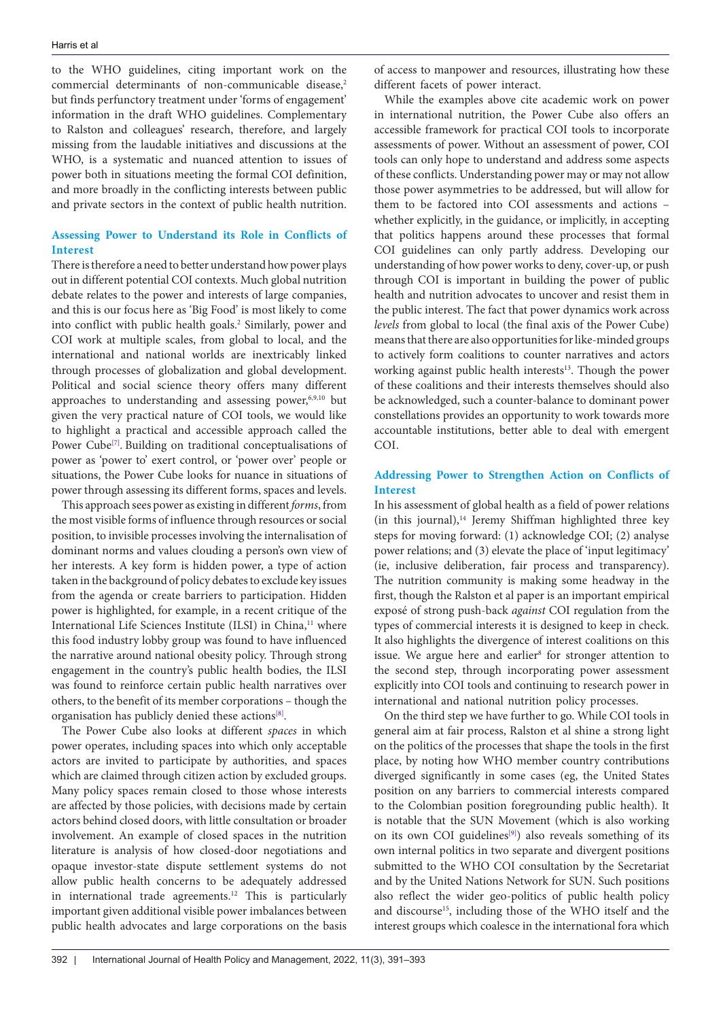to the WHO guidelines, citing important work on the commercial determinants of non-communicable disease,<sup>2</sup> but finds perfunctory treatment under 'forms of engagement' information in the draft WHO guidelines. Complementary to Ralston and colleagues' research, therefore, and largely missing from the laudable initiatives and discussions at the WHO, is a systematic and nuanced attention to issues of power both in situations meeting the formal COI definition, and more broadly in the conflicting interests between public and private sectors in the context of public health nutrition.

### **Assessing Power to Understand its Role in Conflicts of Interest**

There is therefore a need to better understand how power plays out in different potential COI contexts. Much global nutrition debate relates to the power and interests of large companies, and this is our focus here as 'Big Food' is most likely to come into conflict with public health goals.2 Similarly, power and COI work at multiple scales, from global to local, and the international and national worlds are inextricably linked through processes of globalization and global development. Political and social science theory offers many different approaches to understanding and assessing power,<sup>6,9,10</sup> but given the very practical nature of COI tools, we would like to highlight a practical and accessible approach called the Power Cube<sup>[7]</sup>. Building on traditional conceptualisations of power as 'power to' exert control, or 'power over' people or situations, the Power Cube looks for nuance in situations of power through assessing its different forms, spaces and levels.

This approach sees power as existing in different*forms*, from the most visible forms of influence through resources or social position, to invisible processes involving the internalisation of dominant norms and values clouding a person's own view of her interests. A key form is hidden power, a type of action taken in the background of policy debates to exclude key issues from the agenda or create barriers to participation. Hidden power is highlighted, for example, in a recent critique of the International Life Sciences Institute (ILSI) in China,<sup>11</sup> where this food industry lobby group was found to have influenced the narrative around national obesity policy. Through strong engagement in the country's public health bodies, the ILSI was found to reinforce certain public health narratives over others, to the benefit of its member corporations – though the organisation has publicly denied these actions[\[8\]](#page-2-7).

The Power Cube also looks at different *spaces* in which power operates, including spaces into which only acceptable actors are invited to participate by authorities, and spaces which are claimed through citizen action by excluded groups. Many policy spaces remain closed to those whose interests are affected by those policies, with decisions made by certain actors behind closed doors, with little consultation or broader involvement. An example of closed spaces in the nutrition literature is analysis of how closed-door negotiations and opaque investor-state dispute settlement systems do not allow public health concerns to be adequately addressed in international trade agreements.12 This is particularly important given additional visible power imbalances between public health advocates and large corporations on the basis

of access to manpower and resources, illustrating how these different facets of power interact.

While the examples above cite academic work on power in international nutrition, the Power Cube also offers an accessible framework for practical COI tools to incorporate assessments of power. Without an assessment of power, COI tools can only hope to understand and address some aspects of these conflicts. Understanding power may or may not allow those power asymmetries to be addressed, but will allow for them to be factored into COI assessments and actions – whether explicitly, in the guidance, or implicitly, in accepting that politics happens around these processes that formal COI guidelines can only partly address. Developing our understanding of how power works to deny, cover-up, or push through COI is important in building the power of public health and nutrition advocates to uncover and resist them in the public interest. The fact that power dynamics work across *levels* from global to local (the final axis of the Power Cube) means that there are also opportunities for like-minded groups to actively form coalitions to counter narratives and actors working against public health interests<sup>13</sup>. Though the power of these coalitions and their interests themselves should also be acknowledged, such a counter-balance to dominant power constellations provides an opportunity to work towards more accountable institutions, better able to deal with emergent COI.

## **Addressing Power to Strengthen Action on Conflicts of Interest**

In his assessment of global health as a field of power relations (in this journal),<sup>14</sup> Jeremy Shiffman highlighted three key steps for moving forward: (1) acknowledge COI; (2) analyse power relations; and (3) elevate the place of 'input legitimacy' (ie, inclusive deliberation, fair process and transparency). The nutrition community is making some headway in the first, though the Ralston et al paper is an important empirical exposé of strong push-back *against* COI regulation from the types of commercial interests it is designed to keep in check. It also highlights the divergence of interest coalitions on this issue. We argue here and earlier<sup>8</sup> for stronger attention to the second step, through incorporating power assessment explicitly into COI tools and continuing to research power in international and national nutrition policy processes.

On the third step we have further to go. While COI tools in general aim at fair process, Ralston et al shine a strong light on the politics of the processes that shape the tools in the first place, by noting how WHO member country contributions diverged significantly in some cases (eg, the United States position on any barriers to commercial interests compared to the Colombian position foregrounding public health). It is notable that the SUN Movement (which is also working on its own COI guidelines<sup>[9]</sup>) also reveals something of its own internal politics in two separate and divergent positions submitted to the WHO COI consultation by the Secretariat and by the United Nations Network for SUN. Such positions also reflect the wider geo-politics of public health policy and discourse<sup>15</sup>, including those of the WHO itself and the interest groups which coalesce in the international fora which